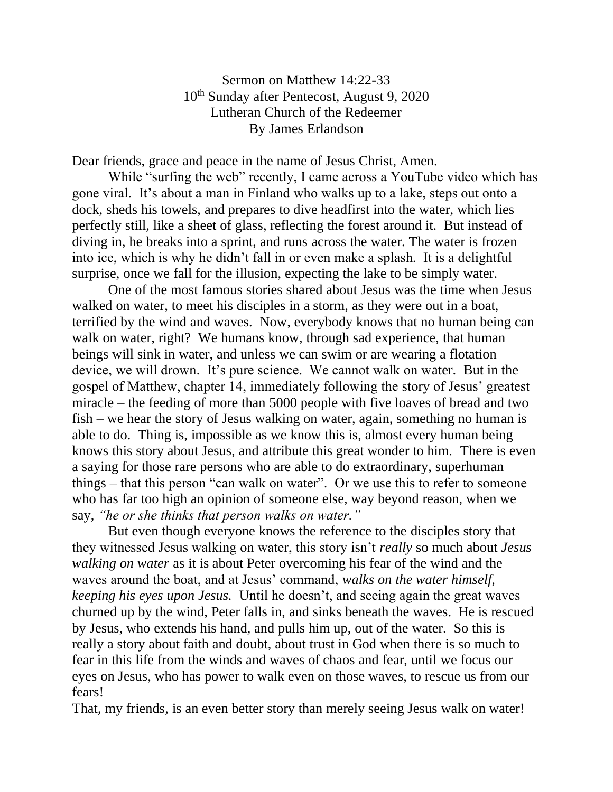Sermon on Matthew 14:22-33 10th Sunday after Pentecost, August 9, 2020 Lutheran Church of the Redeemer By James Erlandson

Dear friends, grace and peace in the name of Jesus Christ, Amen.

While "surfing the web" recently, I came across a YouTube video which has gone viral. It's about a man in Finland who walks up to a lake, steps out onto a dock, sheds his towels, and prepares to dive headfirst into the water, which lies perfectly still, like a sheet of glass, reflecting the forest around it. But instead of diving in, he breaks into a sprint, and runs across the water. The water is frozen into ice, which is why he didn't fall in or even make a splash. It is a delightful surprise, once we fall for the illusion, expecting the lake to be simply water.

One of the most famous stories shared about Jesus was the time when Jesus walked on water, to meet his disciples in a storm, as they were out in a boat, terrified by the wind and waves. Now, everybody knows that no human being can walk on water, right? We humans know, through sad experience, that human beings will sink in water, and unless we can swim or are wearing a flotation device, we will drown. It's pure science. We cannot walk on water. But in the gospel of Matthew, chapter 14, immediately following the story of Jesus' greatest miracle – the feeding of more than 5000 people with five loaves of bread and two fish – we hear the story of Jesus walking on water, again, something no human is able to do. Thing is, impossible as we know this is, almost every human being knows this story about Jesus, and attribute this great wonder to him. There is even a saying for those rare persons who are able to do extraordinary, superhuman things – that this person "can walk on water". Or we use this to refer to someone who has far too high an opinion of someone else, way beyond reason, when we say, *"he or she thinks that person walks on water."*

But even though everyone knows the reference to the disciples story that they witnessed Jesus walking on water, this story isn't *really* so much about *Jesus walking on water* as it is about Peter overcoming his fear of the wind and the waves around the boat, and at Jesus' command, *walks on the water himself, keeping his eyes upon Jesus.* Until he doesn't, and seeing again the great waves churned up by the wind, Peter falls in, and sinks beneath the waves. He is rescued by Jesus, who extends his hand, and pulls him up, out of the water. So this is really a story about faith and doubt, about trust in God when there is so much to fear in this life from the winds and waves of chaos and fear, until we focus our eyes on Jesus, who has power to walk even on those waves, to rescue us from our fears!

That, my friends, is an even better story than merely seeing Jesus walk on water!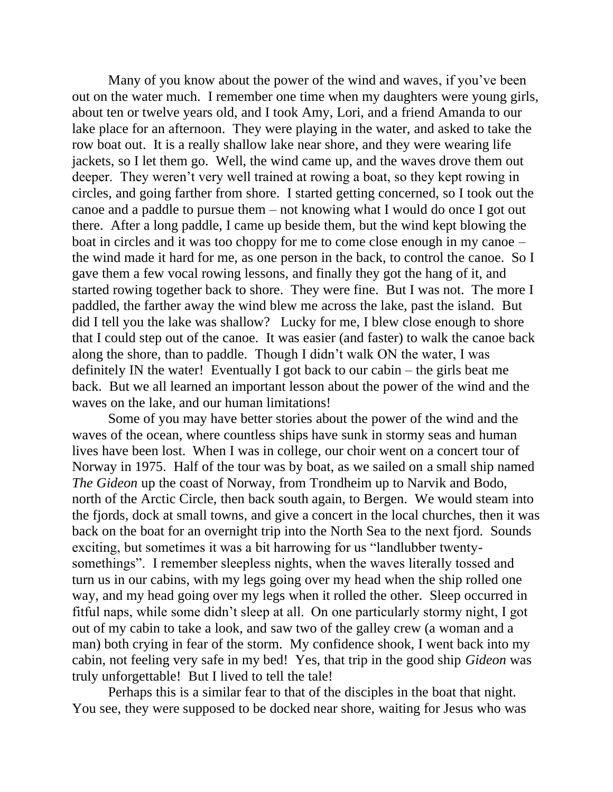Many of you know about the power of the wind and waves, if you've been out on the water much. I remember one time when my daughters were young girls, about ten or twelve years old, and I took Amy, Lori, and a friend Amanda to our lake place for an afternoon. They were playing in the water, and asked to take the row boat out. It is a really shallow lake near shore, and they were wearing life jackets, so I let them go. Well, the wind came up, and the waves drove them out deeper. They weren't very well trained at rowing a boat, so they kept rowing in circles, and going farther from shore. I started getting concerned, so I took out the canoe and a paddle to pursue them – not knowing what I would do once I got out there. After a long paddle, I came up beside them, but the wind kept blowing the boat in circles and it was too choppy for me to come close enough in my canoe – the wind made it hard for me, as one person in the back, to control the canoe. So I gave them a few vocal rowing lessons, and finally they got the hang of it, and started rowing together back to shore. They were fine. But I was not. The more I paddled, the farther away the wind blew me across the lake, past the island. But did I tell you the lake was shallow? Lucky for me, I blew close enough to shore that I could step out of the canoe. It was easier (and faster) to walk the canoe back along the shore, than to paddle. Though I didn't walk ON the water, I was definitely IN the water! Eventually I got back to our cabin – the girls beat me back. But we all learned an important lesson about the power of the wind and the waves on the lake, and our human limitations!

Some of you may have better stories about the power of the wind and the waves of the ocean, where countless ships have sunk in stormy seas and human lives have been lost. When I was in college, our choir went on a concert tour of Norway in 1975. Half of the tour was by boat, as we sailed on a small ship named *The Gideon* up the coast of Norway, from Trondheim up to Narvik and Bodo, north of the Arctic Circle, then back south again, to Bergen. We would steam into the fjords, dock at small towns, and give a concert in the local churches, then it was back on the boat for an overnight trip into the North Sea to the next fjord. Sounds exciting, but sometimes it was a bit harrowing for us "landlubber twentysomethings". I remember sleepless nights, when the waves literally tossed and turn us in our cabins, with my legs going over my head when the ship rolled one way, and my head going over my legs when it rolled the other. Sleep occurred in fitful naps, while some didn't sleep at all. On one particularly stormy night, I got out of my cabin to take a look, and saw two of the galley crew (a woman and a man) both crying in fear of the storm. My confidence shook, I went back into my cabin, not feeling very safe in my bed! Yes, that trip in the good ship *Gideon* was truly unforgettable! But I lived to tell the tale!

Perhaps this is a similar fear to that of the disciples in the boat that night. You see, they were supposed to be docked near shore, waiting for Jesus who was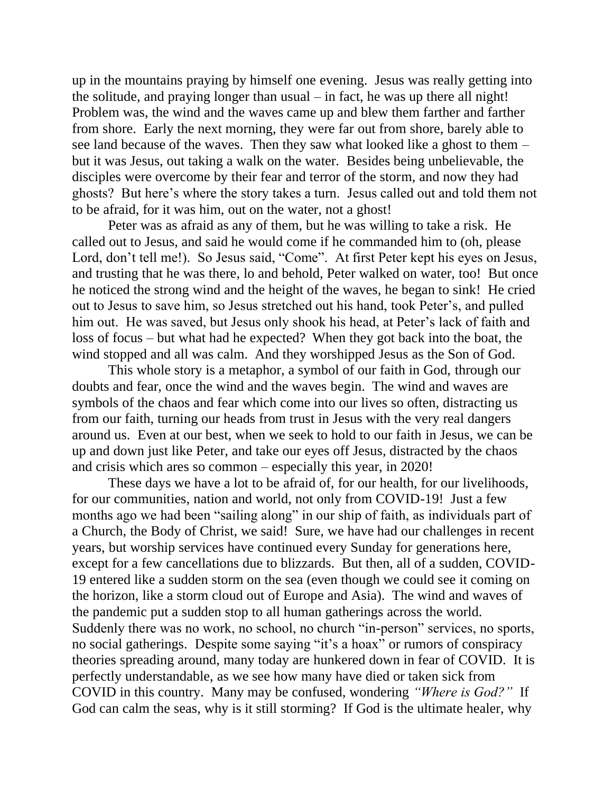up in the mountains praying by himself one evening. Jesus was really getting into the solitude, and praying longer than usual – in fact, he was up there all night! Problem was, the wind and the waves came up and blew them farther and farther from shore. Early the next morning, they were far out from shore, barely able to see land because of the waves. Then they saw what looked like a ghost to them – but it was Jesus, out taking a walk on the water. Besides being unbelievable, the disciples were overcome by their fear and terror of the storm, and now they had ghosts? But here's where the story takes a turn. Jesus called out and told them not to be afraid, for it was him, out on the water, not a ghost!

Peter was as afraid as any of them, but he was willing to take a risk. He called out to Jesus, and said he would come if he commanded him to (oh, please Lord, don't tell me!). So Jesus said, "Come". At first Peter kept his eyes on Jesus, and trusting that he was there, lo and behold, Peter walked on water, too! But once he noticed the strong wind and the height of the waves, he began to sink! He cried out to Jesus to save him, so Jesus stretched out his hand, took Peter's, and pulled him out. He was saved, but Jesus only shook his head, at Peter's lack of faith and loss of focus – but what had he expected? When they got back into the boat, the wind stopped and all was calm. And they worshipped Jesus as the Son of God.

This whole story is a metaphor, a symbol of our faith in God, through our doubts and fear, once the wind and the waves begin. The wind and waves are symbols of the chaos and fear which come into our lives so often, distracting us from our faith, turning our heads from trust in Jesus with the very real dangers around us. Even at our best, when we seek to hold to our faith in Jesus, we can be up and down just like Peter, and take our eyes off Jesus, distracted by the chaos and crisis which ares so common – especially this year, in 2020!

These days we have a lot to be afraid of, for our health, for our livelihoods, for our communities, nation and world, not only from COVID-19! Just a few months ago we had been "sailing along" in our ship of faith, as individuals part of a Church, the Body of Christ, we said! Sure, we have had our challenges in recent years, but worship services have continued every Sunday for generations here, except for a few cancellations due to blizzards. But then, all of a sudden, COVID-19 entered like a sudden storm on the sea (even though we could see it coming on the horizon, like a storm cloud out of Europe and Asia). The wind and waves of the pandemic put a sudden stop to all human gatherings across the world. Suddenly there was no work, no school, no church "in-person" services, no sports, no social gatherings. Despite some saying "it's a hoax" or rumors of conspiracy theories spreading around, many today are hunkered down in fear of COVID. It is perfectly understandable, as we see how many have died or taken sick from COVID in this country. Many may be confused, wondering *"Where is God?"* If God can calm the seas, why is it still storming? If God is the ultimate healer, why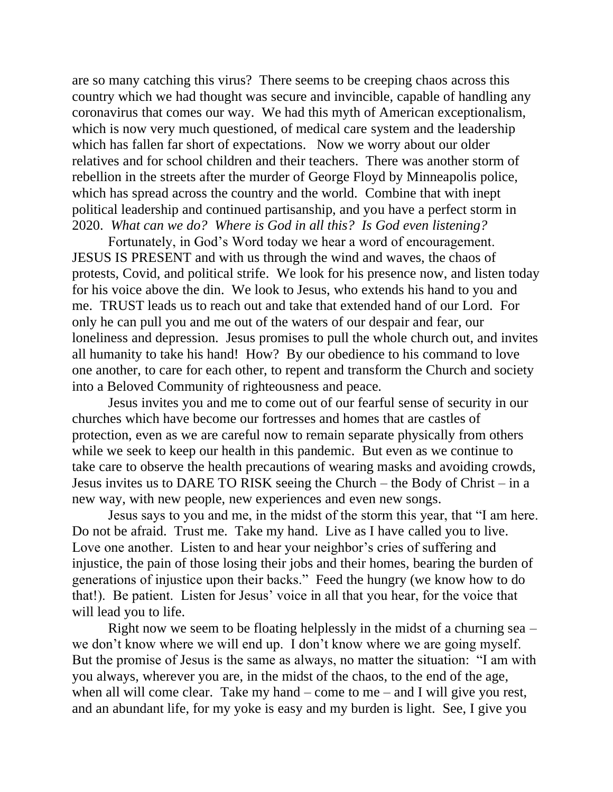are so many catching this virus? There seems to be creeping chaos across this country which we had thought was secure and invincible, capable of handling any coronavirus that comes our way. We had this myth of American exceptionalism, which is now very much questioned, of medical care system and the leadership which has fallen far short of expectations. Now we worry about our older relatives and for school children and their teachers. There was another storm of rebellion in the streets after the murder of George Floyd by Minneapolis police, which has spread across the country and the world. Combine that with inept political leadership and continued partisanship, and you have a perfect storm in 2020. *What can we do? Where is God in all this? Is God even listening?*

Fortunately, in God's Word today we hear a word of encouragement. JESUS IS PRESENT and with us through the wind and waves, the chaos of protests, Covid, and political strife. We look for his presence now, and listen today for his voice above the din. We look to Jesus, who extends his hand to you and me. TRUST leads us to reach out and take that extended hand of our Lord. For only he can pull you and me out of the waters of our despair and fear, our loneliness and depression. Jesus promises to pull the whole church out, and invites all humanity to take his hand! How? By our obedience to his command to love one another, to care for each other, to repent and transform the Church and society into a Beloved Community of righteousness and peace.

Jesus invites you and me to come out of our fearful sense of security in our churches which have become our fortresses and homes that are castles of protection, even as we are careful now to remain separate physically from others while we seek to keep our health in this pandemic. But even as we continue to take care to observe the health precautions of wearing masks and avoiding crowds, Jesus invites us to DARE TO RISK seeing the Church – the Body of Christ – in a new way, with new people, new experiences and even new songs.

Jesus says to you and me, in the midst of the storm this year, that "I am here. Do not be afraid. Trust me. Take my hand. Live as I have called you to live. Love one another. Listen to and hear your neighbor's cries of suffering and injustice, the pain of those losing their jobs and their homes, bearing the burden of generations of injustice upon their backs." Feed the hungry (we know how to do that!). Be patient. Listen for Jesus' voice in all that you hear, for the voice that will lead you to life.

Right now we seem to be floating helplessly in the midst of a churning sea – we don't know where we will end up. I don't know where we are going myself. But the promise of Jesus is the same as always, no matter the situation: "I am with you always, wherever you are, in the midst of the chaos, to the end of the age, when all will come clear. Take my hand – come to me – and I will give you rest, and an abundant life, for my yoke is easy and my burden is light. See, I give you